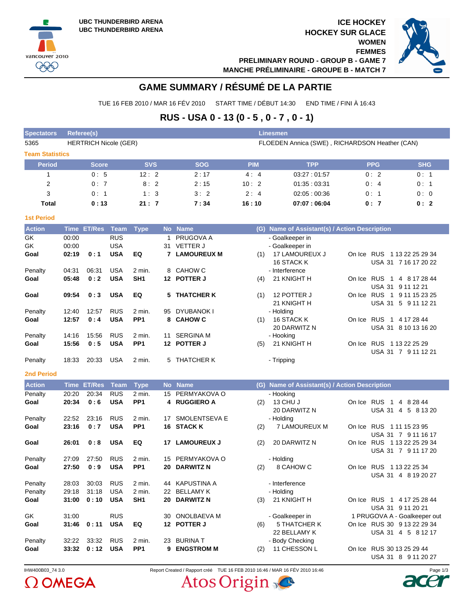**ICE HOCKEY HOCKEY SUR GLACE WOMEN FEMMES PRELIMINARY ROUND - GROUP B - GAME 7**



**MANCHE PRÉLIMINAIRE - GROUPE B - MATCH 7**

# **GAME SUMMARY / RÉSUMÉ DE LA PARTIE**

TUE 16 FEB 2010 / MAR 16 FÉV 2010 START TIME / DÉBUT 14:30 END TIME / FINI À 16:43

# **RUS - USA 0 - 13 (0 - 5 , 0 - 7 , 0 - 1)**

| <b>Spectators</b> | Referee(s)<br>Linesmen       |            |            |            |                                                |            |            |  |  |  |  |  |  |  |  |
|-------------------|------------------------------|------------|------------|------------|------------------------------------------------|------------|------------|--|--|--|--|--|--|--|--|
| 5365              | <b>HERTRICH Nicole (GER)</b> |            |            |            | FLOEDEN Annica (SWE), RICHARDSON Heather (CAN) |            |            |  |  |  |  |  |  |  |  |
|                   | <b>Team Statistics</b>       |            |            |            |                                                |            |            |  |  |  |  |  |  |  |  |
| <b>Period</b>     | <b>Score</b>                 | <b>SVS</b> | <b>SOG</b> | <b>PIM</b> | <b>TPP</b>                                     | <b>PPG</b> | <b>SHG</b> |  |  |  |  |  |  |  |  |
|                   | 0:5                          | 12:2       | 2:17       | 4:4        | 03:27:01:57                                    | 0:2        | 0:1        |  |  |  |  |  |  |  |  |
| 2                 | 0:7                          | 8:2        | 2:15       | 10:2       | 01:35:03:31                                    | 0:4        | 0:1        |  |  |  |  |  |  |  |  |
| 3                 | 0:1                          | 1:3        | 3:2        | 2:4        | 02:05:00:36                                    | 0:1        | 0:0        |  |  |  |  |  |  |  |  |
| <b>Total</b>      | 0:13                         | 21:7       | 7:34       | 16:10      | 07:07:06:04                                    | 0:7        | 0:2        |  |  |  |  |  |  |  |  |

### **1st Period**

vancouver 2010 999

| <b>Action</b>     |             | Time ET/Res   | Team        | <b>Type</b>     |           | No Name              |     | (G) Name of Assistant(s) / Action Description |                                                     |
|-------------------|-------------|---------------|-------------|-----------------|-----------|----------------------|-----|-----------------------------------------------|-----------------------------------------------------|
| GK                | 00:00       |               | <b>RUS</b>  |                 | 1         | PRUGOVA A            |     | - Goalkeeper in                               |                                                     |
| <b>GK</b>         | 00:00       |               | <b>USA</b>  |                 | 31        | <b>VETTER J</b>      |     | - Goalkeeper in                               |                                                     |
| Goal              | 02:19       | 0:1           | <b>USA</b>  | EQ              |           | <b>7 LAMOUREUX M</b> | (1) | 17 LAMOUREUX J<br>16 STACK K                  | On Ice RUS 1 13 22 25 29 34<br>USA 31 7 16 17 20 22 |
| Penalty           | 04:31       | 06:31         | <b>USA</b>  | 2 min.          |           | 8 CAHOW C            |     | - Interference                                |                                                     |
| Goal              | 05:48       | 0:2           | <b>USA</b>  | SH <sub>1</sub> |           | 12 POTTER J          | (4) | 21 KNIGHT H                                   | On Ice RUS 1 4 8 17 28 44<br>USA 31 9 11 12 21      |
| Goal              | 09:54       | 0:3           | <b>USA</b>  | EQ              |           | 5 THATCHER K         | (1) | 12 POTTER J<br>21 KNIGHT H                    | On Ice RUS 1 9 11 15 23 25<br>USA 31 5 9 11 12 21   |
| Penalty           | 12:40       | 12:57         | <b>RUS</b>  | 2 min.          | 95        | DYUBANOK I           |     | - Holding                                     |                                                     |
| Goal              | 12:57       | 0:4           | <b>USA</b>  | PP <sub>1</sub> | 8         | <b>CAHOW C</b>       | (1) | 16 STACK K<br>20 DARWITZ N                    | On Ice RUS 1 4 17 28 44<br>USA 31 8 10 13 16 20     |
| Penalty           | 14:16       | 15:56         | <b>RUS</b>  | 2 min.          |           | 11 SERGINA M         |     | - Hooking                                     |                                                     |
| Goal              | 15:56       | 0:5           | <b>USA</b>  | PP <sub>1</sub> |           | 12 POTTER J          | (5) | 21 KNIGHT H                                   | On Ice RUS 1 13 22 25 29<br>USA 31 7 9 11 12 21     |
| Penalty           | 18:33       | 20:33         | <b>USA</b>  | $2$ min.        |           | 5 THATCHER K         |     | - Tripping                                    |                                                     |
| <b>2nd Period</b> |             |               |             |                 |           |                      |     |                                               |                                                     |
| <b>Action</b>     | <b>Time</b> | <b>ET/Res</b> | <b>Team</b> | <b>Type</b>     | <b>No</b> | <b>Name</b>          | (G) | Name of Assistant(s) / Action Description     |                                                     |
| Penalty           | 20:20       | 20:34         | <b>RUS</b>  | 2 min.          | 15        | PERMYAKOVA O         |     | - Hooking                                     |                                                     |
| Goal              | 20:34       | 0:6           | <b>USA</b>  | PP <sub>1</sub> |           | 4 RUGGIERO A         | (2) | 13 CHU J<br>20 DARWITZ N                      | On Ice RUS 1<br>4 8 28 44<br>USA 31 4 5 8 13 20     |
| Penalty           | 22:52       | 23:16         | <b>RUS</b>  | 2 min.          |           | 17 SMOLENTSEVA E     |     | - Holding                                     |                                                     |
| Goal              | 23:16       | 0:7           | <b>USA</b>  | PP <sub>1</sub> |           | 16 STACK K           | (2) | <b>7 LAMOUREUX M</b>                          | On Ice RUS 111152395<br>USA 31 7 9 11 16 17         |
| Goal              | 26:01       | 0:8           | <b>USA</b>  | EQ              |           | 17 LAMOUREUX J       | (2) | 20 DARWITZ N                                  | On Ice RUS 1 13 22 25 29 34<br>USA 31 7 9 11 17 20  |
| Penalty           | 27:09       | 27:50         | <b>RUS</b>  | 2 min.          |           | 15 PERMYAKOVA O      |     | - Holding                                     |                                                     |
| Goal              | 27:50       | 0:9           | <b>USA</b>  | PP <sub>1</sub> |           | 20 DARWITZ N         | (2) | 8 CAHOW C                                     | On Ice RUS 1 13 22 25 34<br>USA 31 4 8 19 20 27     |
| Penalty           | 28:03       | 30:03         | <b>RUS</b>  | 2 min.          |           | 44 KAPUSTINA A       |     | - Interference                                |                                                     |
| Penalty           | 29:18       | 31:18         | <b>USA</b>  | 2 min.          |           | 22 BELLAMY K         |     | - Holding                                     |                                                     |
| Goal              | 31:00       | 0:10          | <b>USA</b>  | SH <sub>1</sub> |           | 20 DARWITZ N         | (3) | 21 KNIGHT H                                   | On Ice RUS 1 4 17 25 28 44<br>USA 31 9 11 20 21     |
| GK                | 31:00       |               | <b>RUS</b>  |                 | 30        | <b>ONOLBAEVA M</b>   |     | - Goalkeeper in                               | 1 PRUGOVA A - Goalkeeper out                        |
| Goal              | 31:46       | 0:11          | <b>USA</b>  | EQ              |           | 12 POTTER J          | (6) | 5 THATCHER K<br>22 BELLAMY K                  | On Ice RUS 30 9 13 22 29 34<br>USA 31 4 5 8 12 17   |
| Penalty           | 32:22       | 33:32         | <b>RUS</b>  | 2 min.          | 23        | <b>BURINA T</b>      |     | - Body Checking                               |                                                     |
| Goal              | 33:32       | 0:12          | <b>USA</b>  | PP <sub>1</sub> | 9         | <b>ENGSTROM M</b>    | (2) | 11 CHESSON L                                  | On Ice RUS 30 13 25 29 44                           |

 $\Omega$  OMEGA

IHW400B03\_74 3.0 Report Created / Rapport créé TUE 16 FEB 2010 16:46 / MAR 16 FÉV 2010 16:46 Page 1/3Atos Origin



USA 31 8 9 11 20 27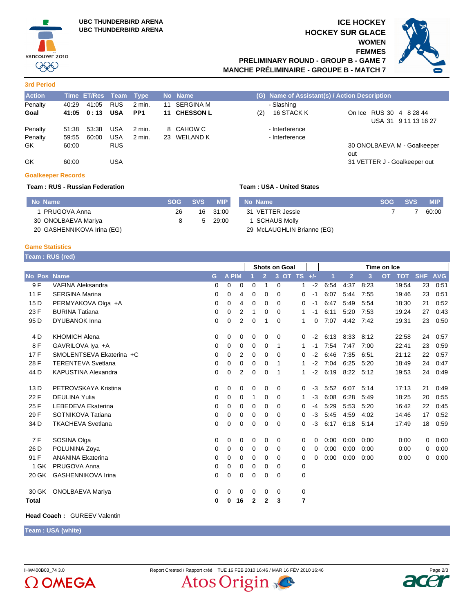

**3rd Period**

# **ICE HOCKEY HOCKEY SUR GLACE WOMEN FEMMES PRELIMINARY ROUND - GROUP B - GAME 7**



**MANCHE PRÉLIMINAIRE - GROUPE B - MATCH 7**

| <b>Action</b> |       | Time ET/Res Team Type |            |                 | No Name      |     | (G) Name of Assistant(s) / Action Description |                                     |
|---------------|-------|-----------------------|------------|-----------------|--------------|-----|-----------------------------------------------|-------------------------------------|
| Penalty       | 40:29 | 41:05                 | <b>RUS</b> | 2 min.          | 11 SERGINA M |     | - Slashing                                    |                                     |
| Goal          | 41:05 | 0 : 13                | <b>USA</b> | PP <sub>1</sub> | 11 CHESSON L | (2) | 16 STACK K                                    | On Ice RUS 30 4 8 28 44             |
|               |       |                       |            |                 |              |     |                                               | USA 31 9 11 13 16 27                |
| Penalty       | 51:38 | 53:38                 | <b>USA</b> | 2 min.          | 8 CAHOW C    |     | - Interference                                |                                     |
| Penalty       | 59:55 | 60:00                 | <b>USA</b> | 2 min.          | 23 WEILAND K |     | - Interference                                |                                     |
| GK.           | 60:00 |                       | <b>RUS</b> |                 |              |     |                                               | 30 ONOLBAEVA M - Goalkeeper         |
| GK            | 60:00 |                       | USA        |                 |              |     |                                               | out<br>31 VETTER J - Goalkeeper out |

### **Goalkeeper Records**

## **Team : RUS - Russian Federation Team : USA - United States**

#### **No Name SOG SVS MIP** 1 PRUGOVA Anna 30 ONOLBAEVA Mariya 20 GASHENNIKOVA Irina (EG) 26 8 16 5 31:00 29:00 **No Name SOG SVS MIP** 31 VETTER Jessie 1 SCHAUS Molly 29 McLAUGHLIN Brianne (EG) 7 7 60:00

### **Game Statistics**

|                 | Team : RUS (red)           |             |             |                |             |                |               |   |      |             |                |      |           |            |            |            |
|-----------------|----------------------------|-------------|-------------|----------------|-------------|----------------|---------------|---|------|-------------|----------------|------|-----------|------------|------------|------------|
|                 |                            |             |             |                |             |                | Shots on Goal |   |      | Time on Ice |                |      |           |            |            |            |
| No Pos          | <b>Name</b>                | G           | A PIM       |                |             | $\overline{2}$ | 3 OT TS +/-   |   |      | 1           | $\overline{2}$ | 3    | <b>OT</b> | <b>TOT</b> | <b>SHF</b> | <b>AVG</b> |
| 9 F             | <b>VAFINA Aleksandra</b>   | $\Omega$    | $\Omega$    | 0              | 0           | 1              | $\Omega$      | 1 | $-2$ | 6:54        | 4:37           | 8:23 |           | 19:54      | 23         | 0:51       |
| 11F             | <b>SERGINA Marina</b>      | 0           | 0           | 4              | 0           | 0              | $\Omega$      | 0 | $-1$ | 6:07        | 5:44           | 7:55 |           | 19:46      | 23         | 0:51       |
| 15 <sub>D</sub> | PERMYAKOVA Olga +A         | 0           | 0           | 4              | 0           | $\mathbf 0$    | $\Omega$      | 0 | $-1$ | 6:47        | 5:49           | 5:54 |           | 18:30      | 21         | 0:52       |
| 23 F            | <b>BURINA Tatiana</b>      | 0           | 0           | $\overline{2}$ | 1           | 0              | $\Omega$      | 1 | $-1$ | 6:11        | 5:20           | 7:53 |           | 19:24      | 27         | 0:43       |
| 95 D            | <b>DYUBANOK Inna</b>       | 0           | 0           | $\overline{2}$ | $\mathbf 0$ | 1              | 0             | 1 | 0    | 7:07        | 4:42           | 7:42 |           | 19:31      | 23         | 0:50       |
| 4 D             | <b>KHOMICH Alena</b>       | $\mathbf 0$ | 0           | 0              | 0           | $\mathbf 0$    | 0             | 0 | $-2$ | 6:13        | 8:33           | 8:12 |           | 22:58      | 24         | 0:57       |
| 8F              | GAVRILOVA Iya +A           | 0           | 0           | 0              | 0           | 0              | $\mathbf 1$   | 1 | $-1$ | 7:54        | 7:47           | 7:00 |           | 22:41      | 23         | 0:59       |
| 17F             | SMOLENTSEVA Ekaterina +C   | $\Omega$    | 0           | $\overline{2}$ | 0           | $\mathbf 0$    | $\Omega$      | 0 | $-2$ | 6:46        | 7:35           | 6:51 |           | 21:12      | 22         | 0:57       |
| 28 F            | <b>TERENTEVA Svetlana</b>  | $\mathbf 0$ | 0           | 0              | 0           | $\mathbf 0$    | 1             | 1 | $-2$ | 7:04        | 6:25           | 5:20 |           | 18:49      | 24         | 0:47       |
| 44 D            | <b>KAPUSTINA Alexandra</b> | 0           | 0           | $\overline{2}$ | 0           | $\mathbf 0$    | 1             | 1 | $-2$ | 6:19        | 8:22           | 5:12 |           | 19:53      | 24         | 0:49       |
| 13 D            | PETROVSKAYA Kristina       | 0           | 0           | 0              | 0           | 0              | 0             | 0 | $-3$ | 5:52        | 6:07           | 5:14 |           | 17:13      | 21         | 0:49       |
| 22 F            | <b>DEULINA Yulia</b>       | 0           | 0           | 0              | 1           | 0              | $\Omega$      | 1 | $-3$ | 6:08        | 6:28           | 5:49 |           | 18:25      | 20         | 0:55       |
| 25 F            | LEBEDEVA Ekaterina         | 0           | 0           | 0              | 0           | 0              | $\Omega$      | 0 | $-4$ | 5:29        | 5:53           | 5:20 |           | 16:42      | 22         | 0:45       |
| 29 F            | SOTNIKOVA Tatiana          | 0           | 0           | 0              | 0           | 0              | 0             | 0 | -3   | 5:45        | 4:59           | 4:02 |           | 14:46      | 17         | 0:52       |
| 34 D            | <b>TKACHEVA Svetlana</b>   | 0           | $\mathbf 0$ | 0              | 0           | 0              | 0             | 0 | $-3$ | 6:17        | 6:18           | 5:14 |           | 17:49      | 18         | 0:59       |
| 7 F             | SOSINA Olga                | 0           | 0           | 0              | 0           | 0              | 0             | 0 | 0    | 0:00        | 0:00           | 0:00 |           | 0:00       | 0          | 0:00       |
| 26 D            | POLUNINA Zoya              | 0           | 0           | 0              | 0           | 0              | 0             | 0 | 0    | 0:00        | 0:00           | 0:00 |           | 0:00       | 0          | 0:00       |
| 91 F            | <b>ANANINA Ekaterina</b>   | 0           | $\mathbf 0$ | 0              | 0           | $\Omega$       | $\Omega$      | 0 | 0    | 0:00        | 0:00           | 0:00 |           | 0:00       | 0          | 0:00       |
| 1 GK            | PRUGOVA Anna               | $\mathbf 0$ | $\mathbf 0$ | 0              | 0           | $\mathbf 0$    | $\Omega$      | 0 |      |             |                |      |           |            |            |            |
| 20 GK           | <b>GASHENNIKOVA Irina</b>  | 0           | $\mathbf 0$ | 0              | 0           | $\mathbf 0$    | 0             | 0 |      |             |                |      |           |            |            |            |
| 30 GK           | <b>ONOLBAEVA Mariya</b>    | 0           | 0           | 0              | 0           | 0              | 0             | 0 |      |             |                |      |           |            |            |            |
| <b>Total</b>    |                            | 0           | 0           | 16             | 2           | 2              | 3             | 7 |      |             |                |      |           |            |            |            |

## **Head Coach :** GUREEV Valentin